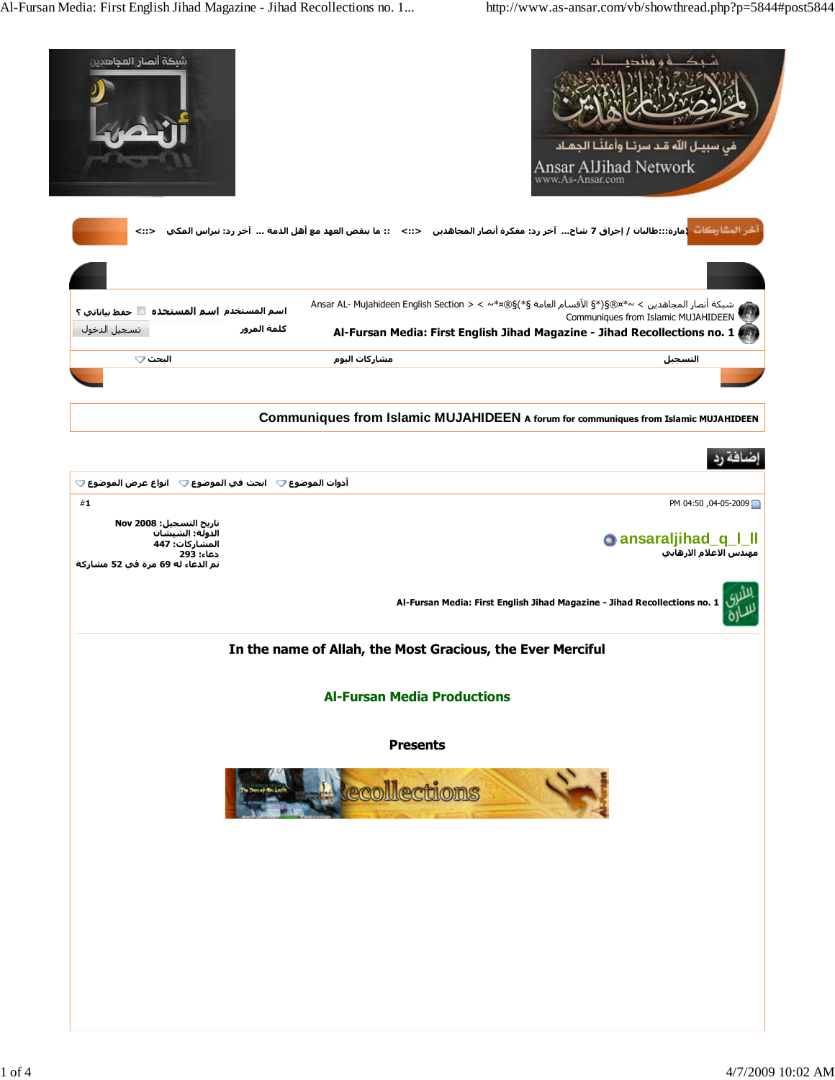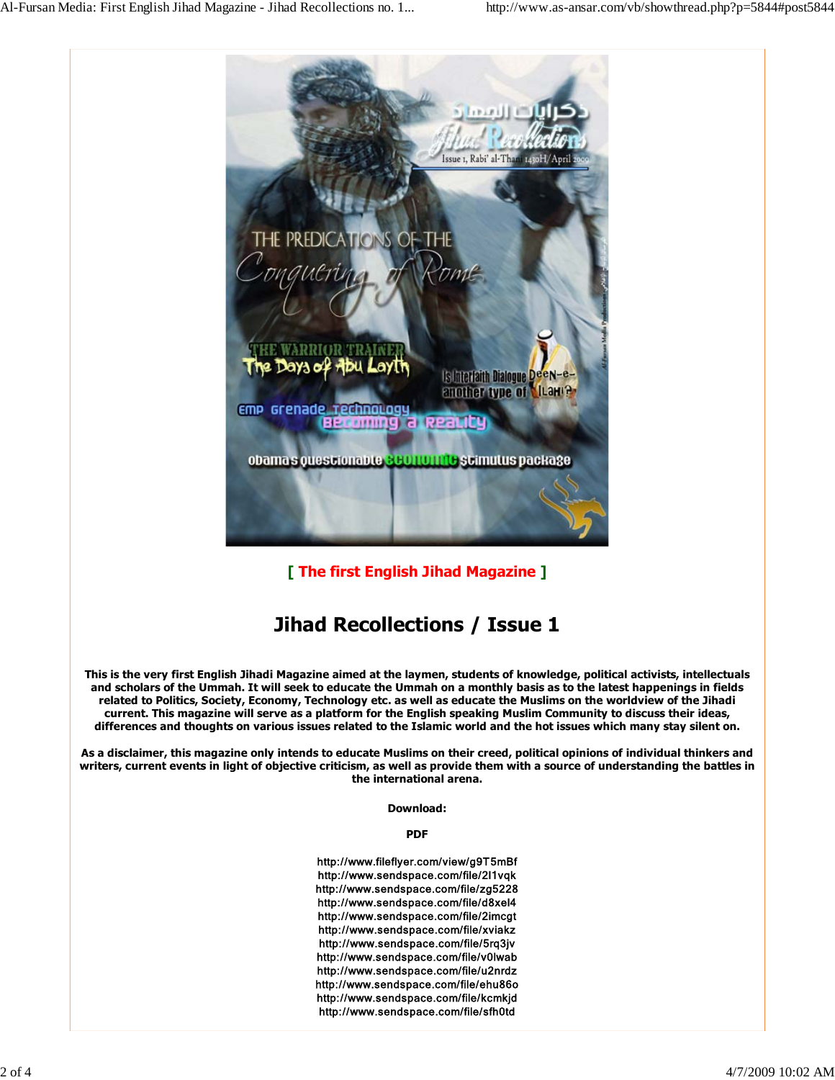

**[ The first English Jihad Magazine ]**

## **Jihad Recollections / Issue 1**

**This is the very first English Jihadi Magazine aimed at the laymen, students of knowledge, political activists, intellectuals and scholars of the Ummah. It will seek to educate the Ummah on a monthly basis as to the latest happenings in fields related to Politics, Society, Economy, Technology etc. as well as educate the Muslims on the worldview of the Jihadi current. This magazine will serve as a platform for the English speaking Muslim Community to discuss their ideas, differences and thoughts on various issues related to the Islamic world and the hot issues which many stay silent on.**

**As a disclaimer, this magazine only intends to educate Muslims on their creed, political opinions of individual thinkers and writers, current events in light of objective criticism, as well as provide them with a source of understanding the battles in the international arena.**

**Download:**

**PDF**

http://www.fileflyer.com/view/g9T5mBf http://www.sendspace.com/file/2l1vqk http://www.sendspace.com/file/zg5228 http://www.sendspace.com/file/d8xel4 http://www.sendspace.com/file/2imcgt http://www.sendspace.com/file/xviakz http://www.sendspace.com/file/5rq3jv http://www.sendspace.com/file/v0lwab http://www.sendspace.com/file/u2nrdz http://www.sendspace.com/file/ehu86o http://www.sendspace.com/file/kcmkjd http://www.sendspace.com/file/sfh0td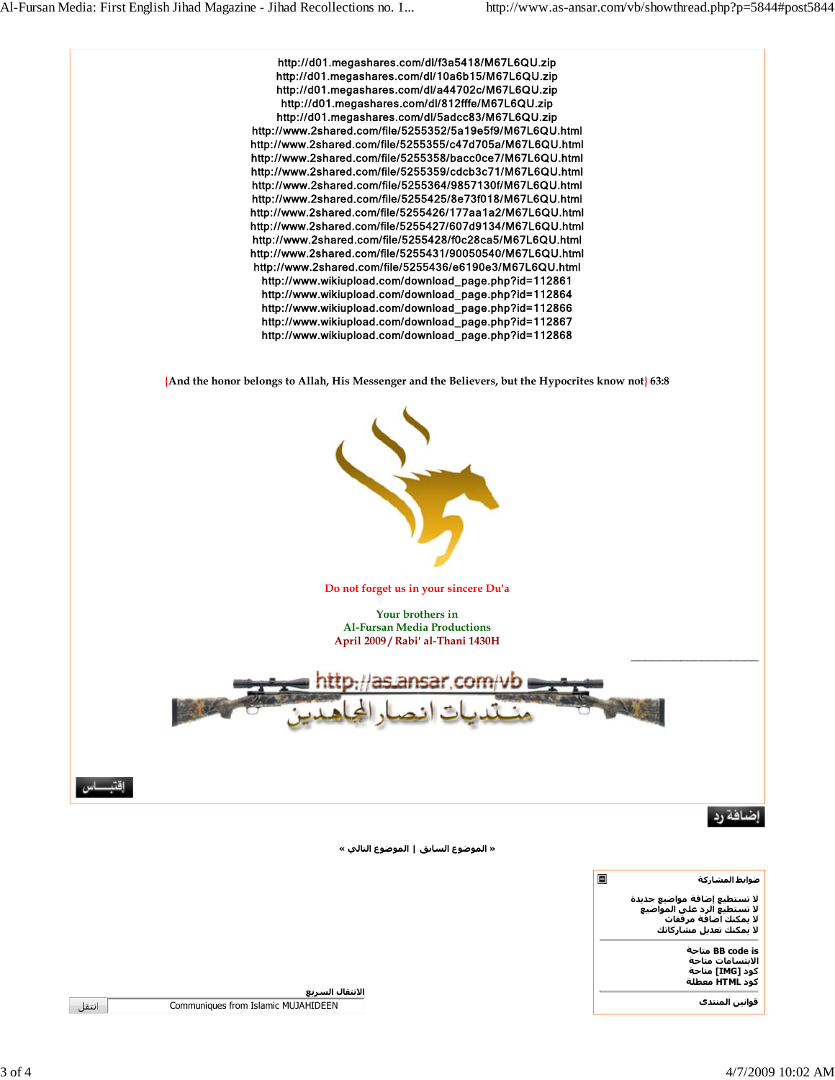

- **ال تستطيع الرد على المواضيع ال يمكنك اضافة مرفقات ال يمكنك تعديل مشاركاتك**
	- **متاحة BB code is االبتسامات متاحة كود [IMG [متاحة كود HTML معطلة**

**قوانين المنتدى**

**االنتقال السريع** Communiques from Islamic MUJAHIDEEN

انتقل